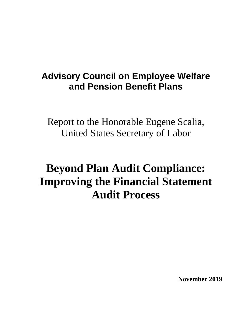# **Advisory Council on Employee Welfare and Pension Benefit Plans**

Report to the Honorable Eugene Scalia, United States Secretary of Labor

# **Beyond Plan Audit Compliance: Improving the Financial Statement Audit Process**

**November 2019**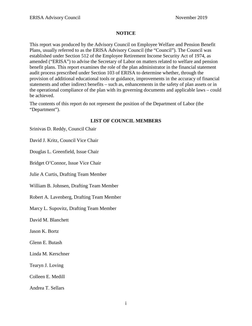#### **NOTICE**

This report was produced by the Advisory Council on Employee Welfare and Pension Benefit Plans, usually referred to as the ERISA Advisory Council (the "Council"). The Council was established under Section 512 of the Employee Retirement Income Security Act of 1974, as amended ("ERISA") to advise the Secretary of Labor on matters related to welfare and pension benefit plans. This report examines the role of the plan administrator in the financial statement audit process prescribed under Section 103 of ERISA to determine whether, through the provision of additional educational tools or guidance, improvements in the accuracy of financial statements and other indirect benefits – such as, enhancements in the safety of plan assets or in the operational compliance of the plan with its governing documents and applicable laws – could be achieved.

The contents of this report do not represent the position of the Department of Labor (the "Department").

#### **LIST OF COUNCIL MEMBERS**

Srinivas D. Reddy, Council Chair

David J. Kritz, Council Vice Chair

Douglas L. Greenfield, Issue Chair

Bridget O'Connor, Issue Vice Chair

Julie A Curtis, Drafting Team Member

William B. Johnsen, Drafting Team Member

Robert A. Lavenberg, Drafting Team Member

Marcy L. Supovitz, Drafting Team Member

David M. Blanchett

Jason K. Bortz

Glenn E. Butash

Linda M. Kerschner

Tearyn J. Loving

Colleen E. Medill

Andrea T. Sellars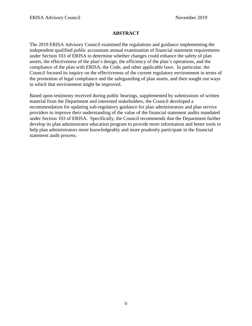#### **ABSTRACT**

The 2019 ERISA Advisory Council examined the regulations and guidance implementing the independent qualified public accountant annual examination of financial statement requirements under Section 103 of ERISA to determine whether changes could enhance the safety of plan assets, the effectiveness of the plan's design, the efficiency of the plan's operations, and the compliance of the plan with ERISA, the Code, and other applicable laws. In particular, the Council focused its inquiry on the effectiveness of the current regulatory environment in terms of the promotion of legal compliance and the safeguarding of plan assets, and then sought out ways in which that environment might be improved.

Based upon testimony received during public hearings, supplemented by submissions of written material from the Department and interested stakeholders, the Council developed a recommendation for updating sub-regulatory guidance for plan administrators and plan service providers to improve their understanding of the value of the financial statement audits mandated under Section 103 of ERISA. Specifically, the Council recommends that the Department further develop its plan administrator education program to provide more information and better tools to help plan administrators more knowledgeably and more prudently participate in the financial statement audit process.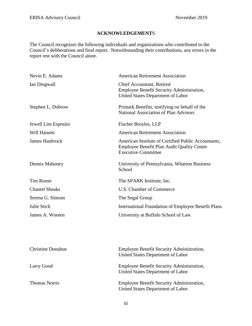#### **ACKNOWLEDGEMENT**S

The Council recognizes the following individuals and organizations who contributed to the Council's deliberations and final report. Notwithstanding their contributions, any errors in the report rest with the Council alone.

| Nevin E. Adams        | <b>American Retirement Association</b>                                                                                          |
|-----------------------|---------------------------------------------------------------------------------------------------------------------------------|
| Ian Dingwall          | <b>Chief Accountant, Retired</b><br>Employee Benefit Security Administration,<br>United States Department of Labor              |
| Stephen L. Dobrow     | Primark Benefits, testifying on behalf of the<br><b>National Association of Plan Advisors</b>                                   |
| Jewell Lim Esposito   | Fischer Broyles, LLP                                                                                                            |
| Will Hansen           | <b>American Retirement Association</b>                                                                                          |
| <b>James Haubrock</b> | American Institute of Certified Public Accountants,<br>Employee Benefit Plan Audit Quality Center<br><b>Executive Committee</b> |
| Dennis Mahoney        | University of Pennsylvania, Wharton Business<br>School                                                                          |
| <b>Tim Rouse</b>      | The SPARK Institute, Inc.                                                                                                       |
| <b>Chantel Sheaks</b> | U.S. Chamber of Commerce                                                                                                        |
| Serena G. Simons      | The Segal Group                                                                                                                 |
| Julie Stich           | <b>International Foundation of Employee Benefit Plans</b>                                                                       |
| James A. Wooten       | University at Buffalo School of Law                                                                                             |

| <b>Christine Donahue</b> | Employee Benefit Security Administration,<br>United States Department of Labor |  |  |
|--------------------------|--------------------------------------------------------------------------------|--|--|
| Larry Good               | Employee Benefit Security Administration,<br>United States Department of Labor |  |  |
| <b>Thomas Norris</b>     | Employee Benefit Security Administration,<br>United States Department of Labor |  |  |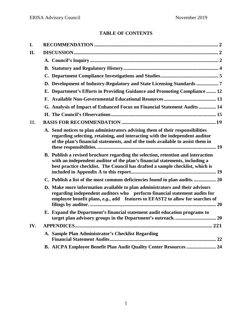# **TABLE OF CONTENTS**

| I.   |                                                                                                                                                                                                                                                    |
|------|----------------------------------------------------------------------------------------------------------------------------------------------------------------------------------------------------------------------------------------------------|
| II.  |                                                                                                                                                                                                                                                    |
|      |                                                                                                                                                                                                                                                    |
|      |                                                                                                                                                                                                                                                    |
|      |                                                                                                                                                                                                                                                    |
|      |                                                                                                                                                                                                                                                    |
|      | E. Department's Efforts in Providing Guidance and Promoting Compliance  12                                                                                                                                                                         |
|      |                                                                                                                                                                                                                                                    |
|      | G. Analysis of Impact of Enhanced Focus on Financial Statement Audits  14                                                                                                                                                                          |
|      |                                                                                                                                                                                                                                                    |
| III. |                                                                                                                                                                                                                                                    |
|      | A. Send notices to plan administrators advising them of their responsibilities<br>regarding selecting, retaining, and interacting with the independent auditor<br>of the plan's financial statements, and of the tools available to assist them in |
|      | B. Publish a revised brochure regarding the selection, retention and interaction<br>with an independent auditor of the plan's financial statements, including a<br>best practice checklist. The Council has drafted a sample checklist, which is   |
|      |                                                                                                                                                                                                                                                    |
|      | D. Make more information available to plan administrators and their advisors<br>regarding independent auditors who perform financial statement audits for<br>employee benefit plans, e.g., add features to EFAST2 to allow for searches of         |
|      | E. Expand the Department's financial statement audit education programs to                                                                                                                                                                         |
| IV.  |                                                                                                                                                                                                                                                    |
|      | A. Sample Plan Administrator's Checklist Regarding                                                                                                                                                                                                 |
|      | <b>B. AICPA Employee Benefit Plan Audit Quality Center Resources  24</b>                                                                                                                                                                           |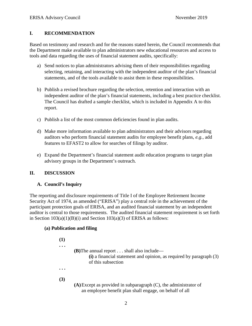# <span id="page-5-0"></span>**I. RECOMMENDATION**

Based on testimony and research and for the reasons stated herein, the Council recommends that the Department make available to plan administrators new educational resources and access to tools and data regarding the uses of financial statement audits, specifically:

- a) Send notices to plan administrators advising them of their responsibilities regarding selecting, retaining, and interacting with the independent auditor of the plan's financial statements, and of the tools available to assist them in these responsibilities.
- b) Publish a revised brochure regarding the selection, retention and interaction with an independent auditor of the plan's financial statements, including a best practice checklist. The Council has drafted a sample checklist, which is included in Appendix A to this report.
- c) Publish a list of the most common deficiencies found in plan audits.
- d) Make more information available to plan administrators and their advisors regarding auditors who perform financial statement audits for employee benefit plans, *e.g.*, add features to EFAST2 to allow for searches of filings by auditor.
- e) Expand the Department's financial statement audit education programs to target plan advisory groups in the Department's outreach.

#### <span id="page-5-1"></span>**II. DISCUSSION**

# <span id="page-5-2"></span>**A. Council's Inquiry**

The reporting and disclosure requirements of Title I of the Employee Retirement Income Security Act of 1974, as amended ("ERISA") play a central role in the achievement of the participant protection goals of ERISA, and an audited financial statement by an independent auditor is central to those requirements. The audited financial statement requirement is set forth in Section  $103(a)(1)(B)(i)$  and Section  $103(a)(3)$  of ERISA as follows:

# **(a) Publication and filing**

| (1) |                                                                                                                                                            |
|-----|------------------------------------------------------------------------------------------------------------------------------------------------------------|
|     | <b>(B)</b> The annual report $\ldots$ shall also include—<br>$(i)$ a financial statement and opinion, as required by paragraph $(3)$<br>of this subsection |
|     |                                                                                                                                                            |
| (3) |                                                                                                                                                            |
|     | $(A)$ Except as provided in subparagraph $(C)$ , the administrator of<br>an employee benefit plan shall engage, on behalf of all                           |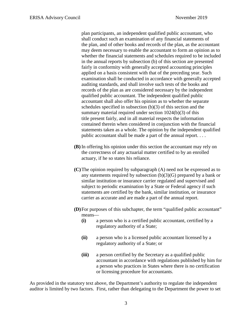plan participants, an independent qualified public accountant, who shall conduct such an examination of any financial statements of the plan, and of other books and records of the plan, as the accountant may deem necessary to enable the accountant to form an opinion as to whether the financial statements and schedules required to be included in the annual reports by subsection (b) of this section are presented fairly in conformity with generally accepted accounting principles applied on a basis consistent with that of the preceding year. Such examination shall be conducted in accordance with generally accepted auditing standards, and shall involve such tests of the books and records of the plan as are considered necessary by the independent qualified public accountant. The independent qualified public accountant shall also offer his opinion as to whether the separate schedules specified in subsection (b)(3) of this section and the summary material required under section 1024(b)(3) of this title present fairly, and in all material respects the information contained therein when considered in conjunction with the financial statements taken as a whole. The opinion by the independent qualified public accountant shall be made a part of the annual report. . . .

- **(B)** In offering his opinion under this section the accountant may rely on the correctness of any actuarial matter certified to by an enrolled actuary, if he so states his reliance.
- **(C)**The opinion required by subparagraph (A) need not be expressed as to any statements required by subsection  $(b)(3)(G)$  prepared by a bank or similar institution or insurance carrier regulated and supervised and subject to periodic examination by a State or Federal agency if such statements are certified by the bank, similar institution, or insurance carrier as accurate and are made a part of the annual report.
- **(D)**For purposes of this subchapter, the term "qualified public accountant" means—
	- **(i)** a person who is a certified public accountant, certified by a regulatory authority of a State;
	- **(ii)** a person who is a licensed public accountant licensed by a regulatory authority of a State; or
	- **(iii)** a person certified by the Secretary as a qualified public accountant in accordance with regulations published by him for a person who practices in States where there is no certification or licensing procedure for accountants.

As provided in the statutory text above, the Department's authority to regulate the independent auditor is limited by two factors. First, rather than delegating to the Department the power to set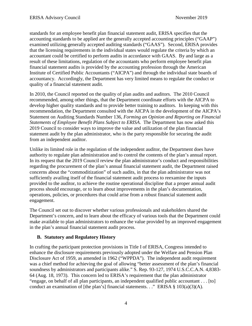standards for an employee benefit plan financial statement audit, ERISA specifies that the accounting standards to be applied are the generally accepted accounting principles ("GAAP") examined utilizing generally accepted auditing standards ("GAAS"). Second, ERISA provides that the licensing requirements in the individual states would regulate the criteria by which an accountant could be certified to perform audits in accordance with GAAS. By and large as a result of these limitations, regulation of the accountants who perform employee benefit plan financial statement audits is provided by the accounting profession through the American Institute of Certified Public Accountants ("AICPA") and through the individual state boards of accountancy. Accordingly, the Department has very limited means to regulate the conduct or quality of a financial statement audit.

In 2010, the Council reported on the quality of plan audits and auditors. The 2010 Council recommended, among other things, that the Department coordinate efforts with the AICPA to develop higher quality standards and to provide better training to auditors. In keeping with this recommendation, the Department consulted with the AICPA in the development of the AICPA's Statement on Auditing Standards Number 136, *Forming an Opinion and Reporting on Financial Statements of Employee Benefit Plans Subject to ERISA*. The Department has now asked this 2019 Council to consider ways to improve the value and utilization of the plan financial statement audit by the plan administrator, who is the party responsible for securing the audit from an independent auditor.

Unlike its limited role in the regulation of the independent auditor, the Department does have authority to regulate plan administration and to control the contents of the plan's annual report. In its request that the 2019 Council review the plan administrator's conduct and responsibilities regarding the procurement of the plan's annual financial statement audit, the Department raised concerns about the "commoditization" of such audits, in that the plan administrator was not sufficiently availing itself of the financial statement audit process to reexamine the inputs provided to the auditor, to achieve the routine operational discipline that a proper annual audit process should encourage, or to learn about improvements in the plan's documentation, operations, policies, or procedures that could arise from a robust financial statement audit engagement.

The Council set out to discover whether various professionals and stakeholders shared the Department's concern, and to learn about the efficacy of various tools that the Department could make available to plan administrators to enhance the value provided by an improved engagement in the plan's annual financial statement audit process.

# <span id="page-7-0"></span>**B. Statutory and Regulatory History**

In crafting the participant protection provisions in Title I of ERISA, Congress intended to enhance the disclosure requirements previously adopted under the Welfare and Pension Plan Disclosure Act of 1959, as amended in 1962 ("WPPDA"). The independent audit requirement was a chief method for achieving the goal of allowing "better assessment of the plan's financial soundness by administrators and participants alike." S. Rep. 93-127, 1974 U.S.C.C.A.N. 4,8383- 64 (Aug. 18, 1973). This concern led to ERISA's requirement that the plan administrator "engage, on behalf of all plan participants, an independent qualified public accountant . . . [to] conduct an examination of [the plan's] financial statements. . ." ERISA  $\S$  103(a)(3)(A).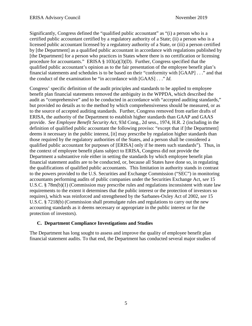Significantly, Congress defined the "qualified public accountant" as "(i) a person who is a certified public accountant certified by a regulatory authority of a State; (ii) a person who is a licensed public accountant licensed by a regulatory authority of a State, or (iii) a person certified by [the Department] as a qualified public accountant in accordance with regulations published by [the Department] for a person who practices in States where there is no certification or licensing procedure for accountants." ERISA  $\S$  103(a)(3)(D). Further, Congress specified that the qualified public accountant's opinion as to the fair presentation of the employee benefit plan's financial statements and schedules is to be based on their "conformity with [GAAP] . . ." and that the conduct of the examination be "in accordance with [GAAS] . . ." *Id.*

Congress' specific definition of the audit principles and standards to be applied to employee benefit plan financial statements removed the ambiguity in the WPPDA, which described the audit as "comprehensive" and to be conducted in accordance with "accepted auditing standards," but provided no details as to the method by which comprehensiveness should be measured, or as to the source of accepted auditing standards. Further, Congress removed from earlier drafts of ERISA, the authority of the Department to establish higher standards than GAAP and GAAS provide. *See Employee Benefit Security Act*, 93d Cong., 2d sess., 1974, H.R. 2 (including in the definition of qualified public accountant the following proviso: "except that if [the Department] deems it necessary in the public interest, [it] may prescribe by regulation higher standards than those required by the regulatory authorities of the States, and a person shall be considered a qualified public accountant for purposes of [ERISA] only if he meets such standards"). Thus, in the context of employee benefit plans subject to ERISA, Congress did not provide the Department a substantive role either in setting the standards by which employee benefit plan financial statement audits are to be conducted, or, because all States have done so, in regulating the qualifications of qualified public accountants. This limitation in authority stands in contrast to the powers provided to the U.S. Securities and Exchange Commission ("SEC") in monitoring accountants performing audits of public companies under the Securities Exchange Act, s*ee* 15 U.S.C. § 78m(b)(1) (Commission may prescribe rules and regulations inconsistent with state law requirements to the extent it determines that the public interest or the protection of investors so requires), which was reinforced and strengthened by the Sarbanes-Oxley Act of 2002, *see* 15 U.S.C. § 7218(b) (Commission shall promulgate rules and regulations to carry out the new accounting standards as it deems necessary or appropriate in the public interest or for the protection of investors).

# <span id="page-8-0"></span>**C. Department Compliance Investigations and Studies**

The Department has long sought to assess and improve the quality of employee benefit plan financial statement audits. To that end, the Department has conducted several major studies of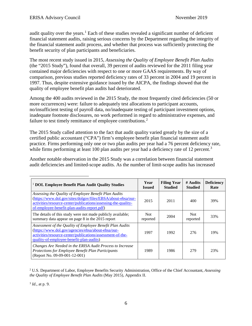audit quality over the years.<sup>[1](#page-9-0)</sup> Each of these studies revealed a significant number of deficient financial statement audits, raising serious concerns by the Department regarding the integrity of the financial statement audit process, and whether that process was sufficiently protecting the benefit security of plan participants and beneficiaries.

The most recent study issued in 2015, *Assessing the Quality of Employee Benefit Plan Audits*  (the "2015 Study")*,* found that overall, 39 percent of audits reviewed for the 2011 filing year contained major deficiencies with respect to one or more GAAS requirements. By way of comparison, previous studies reported deficiency rates of 33 percent in 2004 and 19 percent in 1997. Thus, despite extensive guidance issued by the AICPA, the findings showed that the quality of employee benefit plan audits had deteriorated.

Among the 400 audits reviewed in the 2015 Study, the most frequently cited deficiencies (50 or more occurrences) were: failure to adequately test allocations to participant accounts, no/insufficient testing of payroll data, no/inadequate testing of participant investment options, inadequate footnote disclosures, no work performed in regard to administrative expenses, and failure to test timely remittance of employee contributions.<sup>[2](#page-9-1)</sup>

The 2015 Study called attention to the fact that audit quality varied greatly by the size of a certified public accountant ("CPA") firm's employee benefit plan financial statement audit practice. Firms performing only one or two plan audits per year had a 76 percent deficiency rate, while firms performing at least 100 plan audits per year had a deficiency rate of 12 percent.<sup>[3](#page-9-2)</sup>

Another notable observation in the 2015 Study was a correlation between financial statement audit deficiencies and limited-scope audits. As the number of limit-scope audits has increased

<span id="page-9-0"></span>

| <sup>1</sup> DOL Employee Benefit Plan Audit Quality Studies                                                                                                                                                                           | Year<br><b>Issued</b> | <b>Filing Year</b><br><b>Studied</b> | # Audits<br><b>Studied</b> | <b>Deficiency</b><br>Rate |
|----------------------------------------------------------------------------------------------------------------------------------------------------------------------------------------------------------------------------------------|-----------------------|--------------------------------------|----------------------------|---------------------------|
| Assessing the Quality of Employee Benefit Plan Audits<br>(https://www.dol.gov/sites/dolgov/files/EBSA/about-ebsa/our-<br>activities/resource-center/publications/assessing-the-quality-<br>of-employee-benefit-plan-audits-report.pdf) | 2015                  | 2011                                 | 400                        | 39%                       |
| The details of this study were not made publicly available;<br>summary data appear on page 8 in the 2015 report                                                                                                                        | Not.<br>reported      | 2004                                 | <b>Not</b><br>reported     | 33%                       |
| Assessment of the Quality of Employee Benefit Plan Audits<br>(https://www.dol.gov/agencies/ebsa/about-ebsa/our-<br>activities/resource-center/publications/assessment-of-the-<br>quality-of-employee-benefit-plan-audits)              | 1997                  | 1992                                 | 276                        | 19%                       |
| Changes Are Needed in the ERISA Audit Process to Increase<br>Protections for Employee Benefit Plan Participants<br>(Report No. 09-09-001-12-001)                                                                                       | 1989                  | 1986                                 | 279                        | 23%                       |

<span id="page-9-1"></span><sup>2</sup> U.S. Department of Labor, Employee Benefits Security Administration, Office of the Chief Accountant, *Assessing the Quality of Employee Benefit Plan Audits* (May 2015), Appendix II.

<span id="page-9-2"></span><sup>3</sup> *Id*., at p. 9.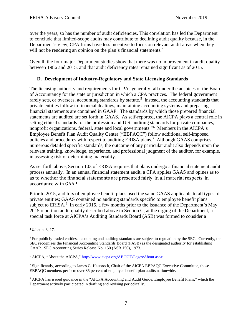over the years, so has the number of audit deficiencies. This correlation has led the Department to conclude that limited-scope audits may contribute to declining audit quality because, in the Department's view, CPA firms have less incentive to focus on relevant audit areas when they will not be rendering an opinion on the plan's financial statements.<sup>[4](#page-10-1)</sup>

Overall, the four major Department studies show that there was no improvement in audit quality between 1986 and 2015, and that audit deficiency rates remained significant as of 2015.

# <span id="page-10-0"></span>**D. Development of Industry-Regulatory and State Licensing Standards**

The licensing authority and requirements for CPAs generally fall under the auspices of the Board of Accountancy for the state or jurisdiction in which a CPA practices. The federal government rarely sets, or oversees, accounting standards by statute.<sup>[5](#page-10-2)</sup> Instead, the accounting standards that private entities follow in financial dealings, maintaining accounting systems and preparing financial statements are contained in GAAP. The standards by which those prepared financial statements are audited are set forth in GAAS. As self-reported, the AICPA plays a central role in setting ethical standards for the profession and U.S. auditing standards for private companies, nonprofit organizations, federal, state and local governments."[6](#page-10-3) Members in the AICPA's Employee Benefit Plan Audit Quality Center ("EBPAQC") follow additional self-imposed policies and procedures with respect to auditing ERISA plans.<sup>[7](#page-10-4)</sup> Although GAAS comprises numerous detailed specific standards, the outcome of any particular audit also depends upon the relevant training, knowledge, experience, and professional judgment of the auditor, for example, in assessing risk or determining materiality.

As set forth above, Section 103 of ERISA requires that plans undergo a financial statement audit process annually. In an annual financial statement audit, a CPA applies GAAS and opines as to as to whether the financial statements are presented fairly, in all material respects, in accordance with GAAP.

Prior to 2015, auditors of employee benefit plans used the same GAAS applicable to all types of private entities; GAAS contained no auditing standards specific to employee benefit plans subject to ERISA.<sup>[8](#page-10-5)</sup> In early 2015, a few months prior to the issuance of the Department's May 2015 report on audit quality described above in Section C, at the urging of the Department, a special task force at AICPA's Auditing Standards Board (ASB) was formed to consider a

<span id="page-10-1"></span> $\overline{a}$ <sup>4</sup> *Id.* at p. 8, 17.

<span id="page-10-2"></span> $<sup>5</sup>$  For publicly-traded entities, accounting and auditing standards are subject to regulation by the SEC. Currently, the</sup> SEC recognizes the Financial Accounting Standards Board (FASB) as the designated authority for establishing GAAP. SEC Accounting Series Release No. 150 (ASR 150), 1973.

<span id="page-10-3"></span><sup>6</sup> AICPA, "About the AICPA,"<http://www.aicpa.org/ABOUT/Pages/About.aspx>

<span id="page-10-4"></span><sup>7</sup> Significantly, according to James G. Haubrock, Chair of the AICPA EBPAQC Executive Committee, those EBPAQC members perform over 85 percent of employee benefit plan audits nationwide.

<span id="page-10-5"></span><sup>8</sup> AICPA has issued guidance in the "AICPA Accounting and Audit Guide, Employee Benefit Plans," which the Department actively participated in drafting and revising periodically.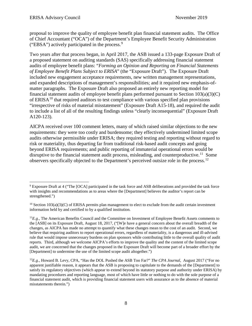proposal to improve the quality of employee benefit plan financial statement audits. The Office of Chief Accountant ("OCA") of the Department's Employee Benefit Security Administration ("EBSA") actively participated in the process.<sup>[9](#page-11-0)</sup>

Two years after that process began, in April 2017, the ASB issued a 133-page Exposure Draft of a proposed statement on auditing standards (SAS) specifically addressing financial statement audits of employee benefit plans: "*Forming an Opinion and Reporting on Financial Statements of Employee Benefit Plans Subject to ERISA*" (the "Exposure Draft"). The Exposure Draft included new engagement acceptance requirements, new written management representations, and expanded descriptions of management's responsibilities; and it required new emphasis-ofmatter paragraphs. The Exposure Draft also proposed an entirely new reporting model for financial statement audits of employee benefit plans performed pursuant to Section  $103(a)(3)(C)$ of  $ERISA^{10}$  $ERISA^{10}$  $ERISA^{10}$  that required auditors to test compliance with various specified plan provisions "irrespective of risks of material misstatement" (Exposure Draft A15-18), and required the audit to include a list of all of the resulting findings unless "clearly inconsequential" (Exposure Draft A120-123).

AICPA received over 100 comment letters, many of which raised similar objections to the new requirements: they were too costly and burdensome; they effectively undermined limited scope audits otherwise permissible under ERISA; they required testing and reporting without regard to risk or materiality, thus departing far from traditional risk-based audit concepts and going beyond ERISA requirements; and public reporting of immaterial operational errors would be disruptive to the financial statement audit process, misleading, and counterproductive.<sup>11</sup> Some observers specifically objected to the Department's perceived outsize role in the process.<sup>[12](#page-11-3)</sup>

<span id="page-11-0"></span> $\overline{\phantom{0}}$  $9$  Exposure Draft at 4 ("The [OCA] participated in the task force and ASB deliberations and provided the task force with insights and recommendations as to areas where the [Department] believes the auditor's report can be strengthened.")

<span id="page-11-1"></span> $10$  Section 103(a)(3)(C) of ERISA permits plan management to elect to exclude from the audit certain investment information held by and certified to by a qualified institution.

<span id="page-11-2"></span><sup>11</sup>*E.g.,* The American Benefits Council and the Committee on Investment of Employee Benefit Assets comments to the [ASB] on its Exposure Draft, August 18, 2017, ("[W]e have a general concern about the overall breadth of the changes, as AICPA has made no attempt to quantify what these changes mean to the cost of an audit. Second, we believe that requiring auditors to report operational errors, regardless of materiality, is a dangerous and ill-advised rule that would impose unnecessary burdens on plan sponsors while contributing little to the overall quality of audit reports. Third, although we welcome AICPA's efforts to improve the quality and the content of the limited scope audit, we are concerned that the changes proposed in the Exposure Draft will become part of a broader effort by the [Department] to undermine the use of the limited scope audit altogether.")

<span id="page-11-3"></span><sup>12</sup>*E.g.,* Howard B. Levy, CPA, "Has the DOL Pushed the ASB Too Far?" *The CPA Journal*, August 2017 ("For no apparent justifiable reason, it appears that the ASB is proposing to capitulate to the demands of the [Department] to satisfy its regulatory objectives (which appear to extend beyond its statutory purpose and authority under ERISA) by mandating procedures and reporting language, most of which have little or nothing to do with the sole purpose of a financial statement audit, which is providing financial statement users with assurance as to the absence of material misstatements therein.")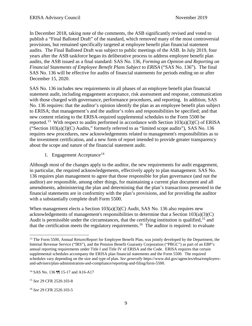In December 2018, taking note of the comments, the ASB significantly revised and voted to publish a "Final Balloted Draft" of the standard, which removed many of the most controversial provisions, but remained specifically targeted at employee benefit plan financial statement audits. The Final Balloted Draft was subject to public meetings of the ASB. In July 2019, four years after the ASB taskforce began its deliberative process to address employee benefit plan audits, the ASB issued as a final standard: SAS No. 136, *Forming an Opinion and Reporting on Financial Statements of Employee Benefit Plans Subject to ERISA* ("SAS No. 136"). The final SAS No. 136 will be effective for audits of financial statements for periods ending on or after December 15, 2020.

SAS No. 136 includes new requirements in all phases of an employee benefit plan financial statement audit, including engagement acceptance, risk assessment and response, communication with those charged with governance, performance procedures, and reporting. In addition, SAS No. 136 requires: that the auditor's opinion identify the plan as an employee benefit plan subject to ERISA; that management's and the auditor's roles and responsibilities be specified; and that new content relating to the ERISA-required supplemental schedules to the Form 5500 be reported.<sup>13</sup> With respect to audits performed in accordance with Section  $103(a)(3)(C)$  of ERISA ("Section 103(a)(3)(C) Audits," formerly referred to as "limited scope audits"), SAS No. 136 requires new procedures, new acknowledgements related to management's responsibilities as to the investment certification, and a new form of report intended to provide greater transparency about the scope and nature of the financial statement audit.

1. Engagement Acceptance<sup>[14](#page-12-1)</sup>

Although most of the changes apply to the auditor, the new requirements for audit engagement, in particular, the required acknowledgements, effectively apply to plan management. SAS No. 136 requires plan management to agree that those responsible for plan governance (and not the auditor) are responsible, among other things, for maintaining a current plan document and all amendments, administering the plan and determining that the plan's transactions presented in the financial statements are in conformity with the plan's provisions, and for providing the auditor with a substantially complete draft Form 5500.

When management elects a Section  $103(a)(3)(C)$  Audit, SAS No. 136 also requires new acknowledgements of management's responsibilities to determine that a Section  $103(a)(3)(C)$ Audit is permissible under the circumstances, that the certifying institution is qualified,  $15$  and that the certification meets the regulatory requirements.<sup>16</sup> The auditor is required: to evaluate

<span id="page-12-0"></span> $\overline{a}$ <sup>13</sup> The Form 5500, Annual Return/Report for Employee Benefit Plan, was jointly developed by the Department, the Internal Revenue Service ("IRS"), and the Pension Benefit Guaranty Corporation ("PBGC") as part of an EBP's annual reporting requirements under Title I and Title IV of ERISA and the Code. ERISA requires that certain supplemental schedules accompany the ERISA plan financial statements and the Form 5500. The required schedules vary depending on the size and type of plan. *See generally* https://www.dol.gov/agencies/ebsa/employersand-advisers/plan-administration-and-compliance/reporting-and-filing/form-5500.

<span id="page-12-1"></span><sup>14</sup> SAS No. 136 ¶¶ 15-17 and A16-A17

<span id="page-12-2"></span><sup>15</sup> *See* 29 CFR 2520.103-8

<span id="page-12-3"></span><sup>16</sup> *See* 29 CFR 2520.103-5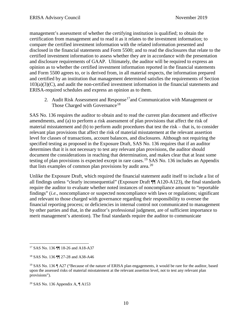management's assessment of whether the certifying institution is qualified; to obtain the certification from management and to read it as it relates to the investment information; to compare the certified investment information with the related information presented and disclosed in the financial statements and Form 5500; and to read the disclosures that relate to the certified investment information to assess whether they are in accordance with the presentation and disclosure requirements of GAAP. Ultimately, the auditor will be required to express an opinion as to whether the certified investment information reported in the financial statements and Form 5500 agrees to, or is derived from, in all material respects, the information prepared and certified by an institution that management determined satisfies the requirements of Section 103(a)(3)(C), and audit the non-certified investment information in the financial statements and ERISA-required schedules and express an opinion as to them.

2. Audit Risk Assessment and Response<sup>[17](#page-13-0)</sup>and Communication with Management or Those Charged with Governance<sup>[18](#page-13-1)</sup>

SAS No. 136 requires the auditor to obtain and to read the current plan document and effective amendments, and (a) to perform a risk assessment of plan provisions that affect the risk of material misstatement and (b) to perform audit procedures that test the risk – that is, to consider relevant plan provisions that affect the risk of material misstatement at the relevant assertion level for classes of transactions, account balances, and disclosures. Although not requiring the specified testing as proposed in the Exposure Draft, SAS No. 136 requires that if an auditor determines that it is not necessary to test any relevant plan provisions, the auditor should document the considerations in reaching that determination, and makes clear that at least some testing of plan provisions is expected except in rare cases. [19](#page-13-2) SAS No. 136 includes an Appendix that lists examples of common plan provisions by audit area.[20](#page-13-3)

Unlike the Exposure Draft, which required the financial statement audit itself to include a list of all findings unless "clearly inconsequential" (Exposure Draft ¶¶ A120-A123), the final standards require the auditor to evaluate whether noted instances of noncompliance amount to "reportable findings" (*i.e.*, noncompliance or suspected noncompliance with laws or regulations; significant and relevant to those charged with governance regarding their responsibility to oversee the financial reporting process; or deficiencies in internal control not communicated to management by other parties and that, in the auditor's professional judgment, are of sufficient importance to merit management's attention). The final standards require the auditor to communicate

<span id="page-13-3"></span><sup>20</sup> SAS No. 136 Appendix A,  $\P$  A153

<span id="page-13-0"></span> $\overline{a}$ <sup>17</sup> SAS No. 136 || 18-26 and A18-A37

<span id="page-13-1"></span><sup>18</sup> SAS No. 136 ¶¶ 27-28 and A38-A46

<span id="page-13-2"></span><sup>&</sup>lt;sup>19</sup> SAS No. 136 ¶ A27 ("Because of the nature of ERISA plan engagements, it would be rare for the auditor, based upon the assessed risks of material misstatement at the relevant assertion level, not to test any relevant plan provisions").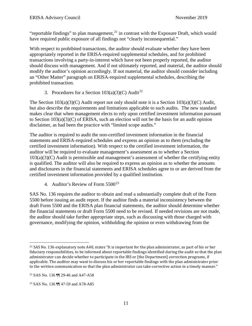"reportable findings" to plan management, $^{21}$  $^{21}$  $^{21}$  in contrast with the Exposure Draft, which would have required public exposure of all findings not "clearly inconsequential."

With respect to prohibited transactions, the auditor should evaluate whether they have been appropriately reported in the ERISA-required supplemental schedules, and for prohibited transactions involving a party-in-interest which have not been properly reported, the auditor should discuss with management. And if not ultimately reported, and material, the auditor should modify the auditor's opinion accordingly. If not material, the auditor should consider including an "Other Matter" paragraph on ERISA-required supplemental schedules, describing the prohibited transaction.

3. Procedures for a Section  $103(a)(3)(C)$  Audit<sup>[22](#page-14-1)</sup>

The Section 103(a)(3)(C) Audit report not only should note it is a Section 103(a)(3)(C) Audit, but also describe the requirements and limitations applicable to such audits. The new standard makes clear that when management elects to rely upon certified investment information pursuant to Section  $103(a)(3)(C)$  of ERISA, such an election will not be the basis for an audit opinion disclaimer, as had been the practice with "limited scope audits."

The auditor is required to audit the non-certified investment information in the financial statements and ERISA-required schedules and express an opinion as to them (excluding the certified investment information). With respect to the certified investment information, the auditor will be required to evaluate management's assessment as to whether a Section  $103(a)(3)(C)$  Audit is permissible and management's assessment of whether the certifying entity is qualified. The auditor will also be required to express an opinion as to whether the amounts and disclosures in the financial statements and ERISA schedules agree to or are derived from the certified investment information provided by a qualified institution.

4. Auditor's Review of Form  $5500^{23}$  $5500^{23}$  $5500^{23}$ 

SAS No. 136 requires the auditor to obtain and read a substantially complete draft of the Form 5500 before issuing an audit report. If the auditor finds a material inconsistency between the draft Form 5500 and the ERISA plan financial statements, the auditor should determine whether the financial statements or draft Form 5500 need to be revised. If needed revisions are not made, the auditor should take further appropriate steps, such as discussing with those charged with governance, modifying the opinion, withholding the opinion or even withdrawing from the

<span id="page-14-0"></span>i<br>I <sup>21</sup> SAS No. 136 explanatory note A40, states "It is important for the plan administrator, as part of his or her fiduciary responsibilities, to be informed about reportable findings identified during the audit so that the plan administrator can decide whether to participate in the IRS or [the Department] correction programs, if applicable. The auditor may want to discuss his or her reportable findings with the plan administrator prior to the written communication so that the plan administrator can take corrective action in a timely manner."

<span id="page-14-1"></span><sup>22</sup> SAS No. 136 ¶¶ 29-46 and A47-A58

<span id="page-14-2"></span><sup>23</sup> SAS No. 136 ¶¶ 47-59 and A78-A85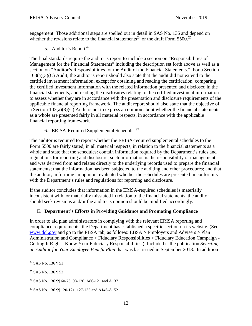engagement. Those additional steps are spelled out in detail in SAS No. 136 and depend on whether the revisions relate to the financial statements<sup>24</sup> or the draft Form 5500.<sup>[25](#page-15-2)</sup>

5. Auditor's Report<sup>[26](#page-15-3)</sup>

The final standards require the auditor's report to include a section on "Responsibilities of Management for the Financial Statements" including the description set forth above as well as a section on "Auditor's Responsibilities for the Audit of the Financial Statements." For a Section 103(a)(3)(C) Audit, the auditor's report should also state that the audit did not extend to the certified investment information, except for obtaining and reading the certification, comparing the certified investment information with the related information presented and disclosed in the financial statements, and reading the disclosures relating to the certified investment information to assess whether they are in accordance with the presentation and disclosure requirements of the applicable financial reporting framework. The audit report should also state that the objective of a Section 103(a)(3)(C) Audit is not to express an opinion about whether the financial statements as a whole are presented fairly in all material respects, in accordance with the applicable financial reporting framework.

6. ERISA-Required Supplemental Schedules<sup>[27](#page-15-4)</sup>

The auditor is required to report whether the ERISA-required supplemental schedules to the Form 5500 are fairly stated, in all material respects, in relation to the financial statements as a whole and state that the schedules: contain information required by the Department's rules and regulations for reporting and disclosure; such information is the responsibility of management and was derived from and relates directly to the underlying records used to prepare the financial statements; that the information has been subjected to the auditing and other procedures; and that the auditor, in forming an opinion, evaluated whether the schedules are presented in conformity with the Department's rules and regulations for reporting and disclosure.

If the auditor concludes that information in the ERISA-required schedules is materially inconsistent with, or materially misstated in relation to the financial statements, the auditor should seek revisions and/or the auditor's opinion should be modified accordingly.

#### <span id="page-15-0"></span>**E. Department's Efforts in Providing Guidance and Promoting Compliance**

In order to aid plan administrators in complying with the relevant ERISA reporting and compliance requirements, the Department has established a specific section on its website. (See: [www.dol.gov](http://www.dol.gov/) and go to the EBSA tab, as follows: EBSA > Employers and Advisers > Plan Administration and Compliance > Fiduciary Responsibilities > Fiduciary Education Campaign - Getting It Right - Know Your Fiduciary Responsibilities.) Included is the publication *Selecting an Auditor for Your Employee Benefit Plan* that was last issued in September 2018. In addition

<span id="page-15-1"></span> $\overline{a}$  $24$  SAS No. 136 | 51

<span id="page-15-2"></span><sup>25</sup> SAS No. 136 ¶ 53

<span id="page-15-3"></span><sup>26</sup> SAS No. 136 ¶¶ 60-76, 98-126, A86-121 and A137

<span id="page-15-4"></span><sup>27</sup> SAS No. 136 ¶¶ 120-121, 127-135 and A146-A152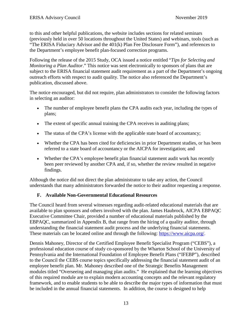to this and other helpful publications, the website includes sections for related seminars (previously held in over 50 locations throughout the United States) and webinars, tools (such as "The ERISA Fiduciary Advisor and the 401(k) Plan Fee Disclosure Form"), and references to the Department's employee benefit plan-focused correction programs.

Following the release of the 2015 Study, OCA issued a notice entitled "*Tips for Selecting and Monitoring a Plan Auditor*." This notice was sent electronically to sponsors of plans that are subject to the ERISA financial statement audit requirement as a part of the Department's ongoing outreach efforts with respect to audit quality. The notice also referenced the Department's publication, discussed above.

The notice encouraged, but did not require, plan administrators to consider the following factors in selecting an auditor:

- The number of employee benefit plans the CPA audits each year, including the types of plans;
- The extent of specific annual training the CPA receives in auditing plans;
- The status of the CPA's license with the applicable state board of accountancy;
- Whether the CPA has been cited for deficiencies in prior Department studies, or has been referred to a state board of accountancy or the AICPA for investigation; and
- Whether the CPA's employee benefit plan financial statement audit work has recently been peer reviewed by another CPA and, if so, whether the review resulted in negative findings.

Although the notice did not direct the plan administrator to take any action, the Council understands that many administrators forwarded the notice to their auditor requesting a response.

#### <span id="page-16-0"></span>**F. Available Non-Governmental Educational Resources**

The Council heard from several witnesses regarding audit-related educational materials that are available to plan sponsors and others involved with the plan. James Haubrock, AICPA EBPAQC Executive Committee Chair, provided a number of educational materials published by the EBPAQC, summarized in Appendix B, that range from the hiring of a quality auditor, through understanding the financial statement audit process and the underlying financial statements. These materials can be located online and through the following: [https://www.aicpa.org/.](https://www.aicpa.org/)

Dennis Mahoney, Director of the Certified Employee Benefit Specialist Program ("CEBS"), a professional education course of study co-sponsored by the Wharton School of the University of Pennsylvania and the International Foundation of Employee Benefit Plans ("IFEBP"), described to the Council the CEBS course topics specifically addressing the financial statement audit of an employee benefit plan. Mr. Mahoney described one of the Strategic Benefits Management modules titled "Overseeing and managing plan audits." He explained that the learning objectives of this required module are to explain modern accounting concepts and the relevant regulatory framework, and to enable students to be able to describe the major types of information that must be included in the annual financial statements. In addition, the course is designed to help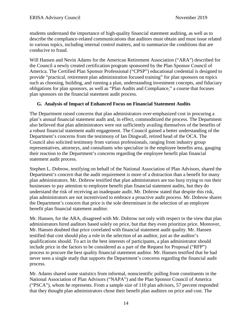students understand the importance of high-quality financial statement auditing, as well as to describe the compliance-related communications that auditors must obtain and must issue related to various topics, including internal control matters, and to summarize the conditions that are conducive to fraud.

Will Hansen and Nevin Adams for the American Retirement Association ("ARA") described for the Council a newly created certification program sponsored by the Plan Sponsor Council of America. The Certified Plan Sponsor Professional ("CPSP") educational credential is designed to provide "practical, retirement plan administration focused training" for plan sponsors on topics such as choosing, building, and running a plan, understanding investment concepts, and fiduciary obligations for plan sponsors, as well as "Plan Audits and Compliance," a course that focuses plan sponsors on the financial statement audit process.

# <span id="page-17-0"></span>**G. Analysis of Impact of Enhanced Focus on Financial Statement Audits**

The Department raised concerns that plan administrators over-emphasized cost in procuring a plan's annual financial statement audit and, in effect, commoditized the process. The Department also believed that plan administrators were not sufficiently availing themselves of the benefits of a robust financial statement audit engagement. The Council gained a better understanding of the Department's concerns from the testimony of Ian Dingwall, retired head of the OCA. The Council also solicited testimony from various professionals, ranging from industry group representatives, attorneys, and consultants who specialize in the employee benefits area, gauging their reaction to the Department's concerns regarding the employee benefit plan financial statement audit process.

Stephen L. Dobrow, testifying on behalf of the National Association of Plan Advisors, shared the Department's concern that the audit requirement is more of a distraction than a benefit for many plan administrators. Mr. Dobrow testified that plan administrators are too busy trying to run their businesses to pay attention to employee benefit plan financial statement audits, but they do understand the risk of receiving an inadequate audit. Mr. Dobrow stated that despite this risk, plan administrators are not incentivized to embrace a proactive audit process. Mr. Dobrow shares the Department's concern that price is the sole determinant in the selection of an employee benefit plan financial statement auditor.

Mr. Hansen, for the ARA, disagreed with Mr. Dobrow not only with respect to the view that plan administrators hired auditors based solely on price, but that they even prioritize price. Moreover, Mr. Hansen doubted that price correlated with financial statement audit quality. Mr. Hansen testified that cost should play a role in the selection of an auditor, just as the auditor's qualifications should. To act in the best interests of participants, a plan administrator should include price in the factors to be considered as a part of the Request for Proposal ("RFP") process to procure the best quality financial statement auditor. Mr. Hansen testified that he had never seen a single study that supports the Department's concerns regarding the financial audit process.

Mr. Adams shared some statistics from informal, nonscientific polling from constituents in the National Association of Plan Advisors ("NAPA") and the Plan Sponsor Council of America ("PSCA"), whom he represents. From a sample size of 110 plan advisors, 57 percent responded that they thought plan administrators chose their benefit plan auditors on price and cost. The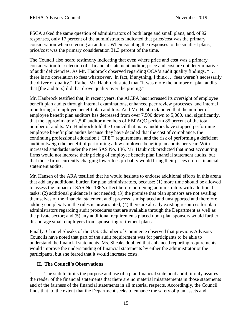PSCA asked the same question of administrators of both large and small plans, and, of 92 responses, only 17 percent of the administrators indicated that price/cost was the primary consideration when selecting an auditor. When isolating the responses to the smallest plans, price/cost was the primary consideration 31.3 percent of the time.

The Council also heard testimony indicating that even where price and cost was a primary consideration for selection of a financial statement auditor, price and cost are not determinative of audit deficiencies. As Mr. Haubrock observed regarding OCA's audit quality findings, "... there is no correlation to fees whatsoever. In fact, if anything, I think … fees weren't necessarily the driver of quality." Rather Mr. Haubrock stated that "it was more the number of plan audits that [the auditors] did that drove quality over the pricing."

Mr. Haubrock testified that, in recent years, the AICPA has increased its oversight of employee benefit plan audits through internal examinations, enhanced peer review processes, and internal monitoring of employee benefit plan auditors. And Mr. Haubrock noted that the number of employee benefit plan auditors has decreased from over 7,500 down to 5,000, and, significantly, that the approximately 2,500 auditor members of EBPAQC perform 85 percent of the total number of audits. Mr. Haubrock told the Council that many auditors have stopped performing employee benefit plan audits because they have decided that the cost of compliance, the continuing professional education ("CPE") requirements, and the risk of performing a deficient audit outweigh the benefit of performing a few employee benefit plan audits per year. With increased standards under the new SAS No. 136, Mr. Haubrock predicted that most accounting firms would not increase their pricing of employee benefit plan financial statement audits, but that those firms currently charging lower fees probably would bring their prices up for financial statement audits.

Mr. Hansen of the ARA testified that he would hesitate to endorse additional efforts in this arena that add any additional burden for plan administrators, because: (1) more time should be allowed to assess the impact of SAS No. 136's effect before burdening administrators with additional tasks; (2) additional guidance is not needed; (3) the premise that plan sponsors are not availing themselves of the financial statement audit process is misplaced and unsupported and therefore adding complexity in the rules is unwarranted; (4) there are already existing resources for plan administrators regarding audit procedures that are available through the Department as well as the private sector; and (5) any additional requirements placed upon plan sponsors would further discourage small employers from sponsoring retirement plans.

Finally, Chantel Sheaks of the U.S. Chamber of Commerce observed that previous Advisory Councils have noted that part of the audit requirement was for participants to be able to understand the financial statements. Ms. Sheaks doubted that enhanced reporting requirements would improve the understanding of financial statements by either the administrator or the participants, but she feared that it would increase costs.

#### <span id="page-18-0"></span>**H. The Council's Observations**

1. The statute limits the purpose and use of a plan financial statement audit; it only assures the reader of the financial statements that there are no material misstatements in those statements and of the fairness of the financial statements in all material respects. Accordingly, the Council finds that, to the extent that the Department seeks to enhance the safety of plan assets and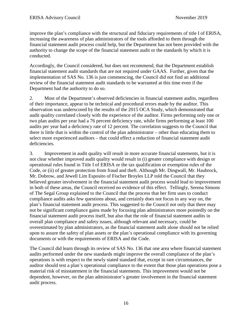improve the plan's compliance with the structural and fiduciary requirements of title I of ERISA, increasing the awareness of plan administrators of the tools afforded to them through the financial statement audit process could help, but the Department has not been provided with the authority to change the scope of the financial statement audit or the standards by which it is conducted.

Accordingly, the Council considered, but does not recommend, that the Department establish financial statement audit standards that are not required under GAAS. Further, given that the implementation of SAS No. 136 is just commencing, the Council did not find an additional review of the financial statement audit standards to be warranted at this time even if the Department had the authority to do so.

2. Most of the Department's observed deficiencies in financial statement audits, regardless of their importance, appear to be technical and procedural errors made by the auditor. This observation was underscored by the results of the 2015 OCA Study, which demonstrated that audit quality correlated closely with the experience of the auditor. Firms performing only one or two plan audits per year had a 76 percent deficiency rate, while firms performing at least 100 audits per year had a deficiency rate of 12 percent. The correlation suggests to the Council that there is little that is within the control of the plan administrator – other than educating them to select more experienced auditors – that could effect a reduction of financial statement audit deficiencies.

3. Improvement in audit quality will result in more accurate financial statements, but it is not clear whether improved audit quality would result in (i) greater compliance with design or operational rules found in Title I of ERISA or the tax qualification or exemption rules of the Code, or (ii) of greater protection from fraud and theft. Although Mr. Dingwall, Mr. Haubrock, Mr. Dobrow, and Jewell Lim Esposito of Fischer Broyles LLP told the Council that they believed greater involvement in the financial statement audit process would lead to improvement in both of these areas, the Council received no evidence of this effect. Tellingly, Serena Simons of The Segal Group explained to the Council that the process that her firm uses to conduct compliance audits asks few questions about, and certainly does not focus in any way on, the plan's financial statement audit process. This suggested to the Council not only that there may not be significant compliance gains made by focusing plan administrators more pointedly on the financial statement audit process itself, but also that the role of financial statement audits in overall plan compliance and safety issues, although relevant and necessary, could be overestimated by plan administrators, as the financial statement audit alone should not be relied upon to assure the safety of plan assets or the plan's operational compliance with its governing documents or with the requirements of ERISA and the Code.

The Council did learn through its review of SAS No. 136 that one area where financial statement audits performed under the new standards might improve the overall compliance of the plan's operations is with respect to the newly stated standard that, except in rare circumstances, the auditor should test a plan's operational compliance to the extent that those plan operations pose a material risk of misstatement in the financial statements. This improvement would not be dependent, however, on the plan administrator's greater involvement in the financial statement audit process.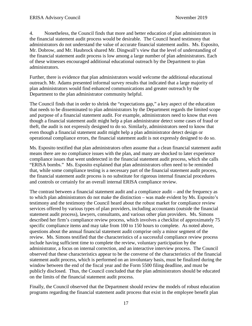4. Nonetheless, the Council finds that more and better education of plan administrators in the financial statement audit process would be desirable. The Council heard testimony that administrators do not understand the value of accurate financial statement audits. Ms. Esposito, Mr. Dobrow, and Mr. Haubrock shared Mr. Dingwall's view that the level of understanding of the financial statement audit process is low among a large number of plan administrators. Each of these witnesses encouraged additional educational outreach by the Department to plan administrators.

Further, there is evidence that plan administrators would welcome the additional educational outreach. Mr. Adams presented informal survey results that indicated that a large majority of plan administrators would find enhanced communications and greater outreach by the Department to the plan administrator community helpful.

The Council finds that in order to shrink the "expectations gap," a key aspect of the education that needs to be disseminated to plan administrators by the Department regards the limited scope and purpose of a financial statement audit. For example, administrators need to know that even though a financial statement audit might help a plan administrator detect some cases of fraud or theft, the audit is not expressly designed to do so. Similarly, administrators need to know that even though a financial statement audit might help a plan administrator detect design or operational compliance errors, the financial statement audit is not expressly designed to do so.

Ms. Esposito testified that plan administrators often assume that a clean financial statement audit means there are no compliance issues with the plan, and many are shocked to later experience compliance issues that went undetected in the financial statement audit process, which she calls "ERISA bombs." Ms. Esposito explained that plan administrators often need to be reminded that, while some compliance testing is a necessary part of the financial statement audit process, the financial statement audit process is no substitute for rigorous internal financial procedures and controls or certainly for an overall internal ERISA compliance review.

The contrast between a financial statement audit and a compliance audit – and the frequency as to which plan administrators do not make the distinction – was made evident by Ms. Esposito's testimony and the testimony the Council heard about the robust market for compliance review services offered by various types of plan providers, including accountants (outside the financial statement audit process), lawyers, consultants, and various other plan providers. Ms. Simons described her firm's compliance review process, which involves a checklist of approximately 75 specific compliance items and may take from 100 to 150 hours to complete. As noted above, questions about the annual financial statement audit comprise only a minor segment of the review. Ms. Simons testified that the characteristics of a successful compliance review process include having sufficient time to complete the review, voluntary participation by the administrator, a focus on internal correction, and an interactive interview process. The Council observed that these characteristics appear to be the converse of the characteristics of the financial statement audit process, which is performed on an involuntary basis, must be finalized during the window between the end of the fiscal year and the Form 5500 filing deadline, and must be publicly disclosed. Thus, the Council concluded that the plan administrators should be educated on the limits of the financial statement audit process.

Finally, the Council observed that the Department should review the models of robust education programs regarding the financial statement audit process that exist in the employee benefit plan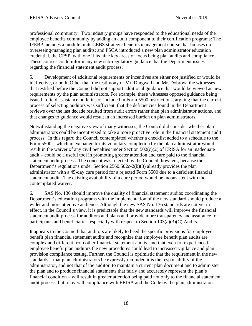professional community. Two industry groups have responded to the educational needs of the employee benefits community by adding an audit component to their certification programs: The IFEBP includes a module in its CEBS strategic benefits management course that focuses on overseeing/managing plan audits; and PSCA introduced a new plan administrator education credential, the CPSP, with one if its nine key areas of focus being plan audits and compliance. These courses could inform any new sub-regulatory guidance that the Department issues regarding the financial statement audit process.

5. Development of additional requirements or incentives are either not justified or would be ineffective, or both. Other than the testimony of Mr. Dingwall and Mr. Dobrow, the witnesses that testified before the Council did not support additional guidance that would be viewed as new requirements by the plan administrators. For example, these witnesses opposed guidance being issued in field assistance bulletins or included in Form 5500 instructions, arguing that the current process of selecting auditors was sufficient, that the deficiencies found in the Department reviews over the last decade resulted from audit errors rather than plan administrator actions, and that changes to guidance would result in an increased burden on plan administrators.

Notwithstanding the negative view of many witnesses, the Council did consider whether plan administrators could be incentivized to take a more proactive role in the financial statement audit process. In this regard the Council contemplated whether a checklist added to a schedule to the Form 5500 – which in exchange for its voluntary completion by the plan administrator would result in the waiver of any civil penalties under Section 502(c)(2) of ERISA for an inadequate audit – could be a useful tool in promoting greater attention and care paid to the financial statement audit process. The concept was rejected by the Council, however, because the Department's regulations under Section 2560.502c-2(b)(3) already provides the plan administrator with a 45-day cure period for a rejected Form 5500 due to a deficient financial statement audit. The existing availability of a cure period would be inconsistent with the contemplated waiver.

6. SAS No. 136 should improve the quality of financial statement audits; coordinating the Department's education programs with the implementation of the new standard should produce a wider and more attentive audience. Although the new SAS No. 136 standards are not yet in effect, in the Council's view, it is predictable that the new standards will improve the financial statement audit process for auditors and plans and provide more transparency and assurance for participants and beneficiaries, especially with respect to Section 103(a)(3)(C) Audits.

It appears to the Council that auditors are likely to heed the specific provisions for employee benefit plan financial statement audits and recognize that employee benefit plan audits are complex and different from other financial statement audits, and that even for experienced employee benefit plan auditors the new procedures could lead to increased vigilance and plan provision compliance testing. Further, the Council is optimistic that the requirement in the new standards – that plan administrators be expressly reminded it is the responsibility of the administrator, and not that of the auditor, to maintain a current plan document and to administer the plan and to produce financial statements that fairly and accurately represent the plan's financial condition – will result in greater attention being paid not only to the financial statement audit process, but to overall compliance with ERISA and the Code by the plan administrator.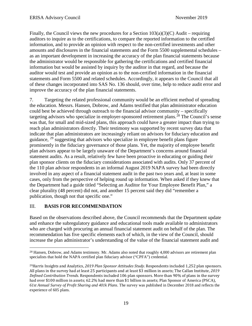Finally, the Council views the new procedures for a Section  $103(a)(3)(C)$  Audit – requiring auditors to inquire as to the certifications, to compare the reported information to the certified information, and to provide an opinion with respect to the non-certified investments and other amounts and disclosures in the financial statements and the Form 5500 supplemental schedules – as an important development in increasing the accuracy of the plan financial statements because the administrator would be responsible for gathering the certifications and certified financial information but would be assisted by inquiry by the auditor in that regard, and because the auditor would test and provide an opinion as to the non-certified information in the financial statements and Form 5500 and related schedules. Accordingly, it appears to the Council that all of these changes incorporated into SAS No. 136 should, over time, help to reduce audit error and improve the accuracy of the plan financial statements.

7. Targeting the related professional community would be an efficient method of spreading the education. Messrs. Hansen, Dobrow, and Adams testified that plan administrator education could best be achieved through outreach to the financial advisor community – specifically targeting advisors who specialize in employer-sponsored retirement plans.<sup>[28](#page-22-1)</sup> The Council's sense was that, for small and mid-sized plans, this approach could have a greater impact than trying to reach plan administrators directly. Their testimony was supported by recent survey data that indicate that plan administrators are increasingly reliant on advisors for fiduciary education and guidance,  $^{29}$  suggesting that advisors who specialize in employee benefit plans figure prominently in the fiduciary governance of those plans. Yet, the majority of employee benefit plan advisors appear to be largely unaware of the Department's concerns around financial statement audits. As a result, relatively few have been proactive in educating or guiding their plan sponsor clients on the fiduciary considerations associated with audits. Only 37 percent of the 110 plan advisor respondents in an informal August 2019 NAPA survey had been directly involved in any aspect of a financial statement audit in the past two years and, at least in some cases, only from the perspective of helping round up information. When asked if they knew that the Department had a guide titled "Selecting an Auditor for Your Employee Benefit Plan," a clear plurality (48 percent) did not, and another 15 percent said they did "remember a publication, though not that specific one."

#### <span id="page-22-0"></span>III. **BASIS FOR RECOMMENDATION**

Based on the observations described above, the Council recommends that the Department update and enhance the subregulatory guidance and educational tools made available to administrators who are charged with procuring an annual financial statement audit on behalf of the plan. The recommendation has five specific elements each of which, in the view of the Council, should increase the plan administrator's understanding of the value of the financial statement audit and

<span id="page-22-1"></span>l <sup>28</sup> Hansen, Dobrow, and Adams testimony. Mr. Adams also noted that roughly 4,000 advisors are retirement plan specialists that hold the NAPA certified plan fiduciary advisor ("CPFA") credential.

<span id="page-22-2"></span><sup>29</sup>Harris Insights and Analytics, *2019 Plan Sponsor Attitudes Study*. Respondents included 1,252 plan sponsors. All plans in the survey had at least 25 participants and at least \$3 million in assets; The Callan Institute, *2019 Defined Contribution Trends*. Respondents included 106 plan sponsors. More than 90% of plans in the survey had over \$100 million in assets; 62.2% had more than \$1 billion in assets; Plan Sponsor of America (PSCA), *61st Annual Survey of Profit Sharing and 401k Plans*. The survey was published in December 2018 and reflects the experience of 605 plans.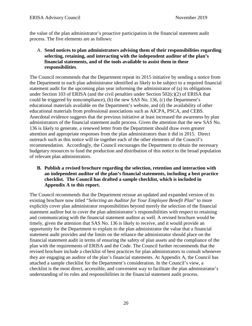the value of the plan administrator's proactive participation in the financial statement audit process. The five elements are as follows:

<span id="page-23-0"></span>A. **Send notices to plan administrators advising them of their responsibilities regarding selecting, retaining, and interacting with the independent auditor of the plan's financial statements, and of the tools available to assist them in these responsibilities**.

The Council recommends that the Department repeat its 2015 initiative by sending a notice from the Department to each plan administrator identified as likely to be subject to a required financial statement audit for the upcoming plan year informing the administrator of (a) its obligations under Section 103 of ERISA (and the civil penalties under Section 502(c)(2) of ERISA that could be triggered by noncompliance), (b) the new SAS No. 136, (c) the Department's educational materials available on the Department's website, and (d) the availability of other educational materials from professional associations such as AICPA, PSCA, and CEBS. Anecdotal evidence suggests that the previous initiative at least increased the awareness by plan administrators of the financial statement audit process. Given the attention that the new SAS No. 136 is likely to generate, a renewed letter from the Department should draw even greater attention and appropriate responses from the plan administrators than it did in 2015. Direct outreach such as this notice will tie together each of the other elements of the Council's recommendation. Accordingly, the Council encourages the Department to obtain the necessary budgetary resources to fund the production and distribution of this notice to the broad population of relevant plan administrators.

<span id="page-23-1"></span>**B. Publish a revised brochure regarding the selection, retention and interaction with an independent auditor of the plan's financial statements, including a best practice checklist. The Council has drafted a sample checklist, which is included in Appendix A to this report.**

The Council recommends that the Department reissue an updated and expanded version of its existing brochure now titled "*Selecting an Auditor for Your Employee Benefit Plan*" to more explicitly cover plan administrator responsibilities beyond merely the selection of the financial statement auditor but to cover the plan administrator's responsibilities with respect to retaining and communicating with the financial statement auditor as well. A revised brochure would be timely, given the attention that SAS No. 136 is likely to receive, and it would provide an opportunity for the Department to explain to the plan administrator the value that a financial statement audit provides and the limits on the reliance the administrator should place on the financial statement audit in terms of ensuring the safety of plan assets and the compliance of the plan with the requirements of ERISA and the Code. The Council further recommends that the revised brochure include a checklist of best practices for plan administrators to consult whenever they are engaging an auditor of the plan's financial statements. At Appendix A, the Council has attached a sample checklist for the Department's consideration. In the Council's view, a checklist is the most direct, accessible, and convenient way to facilitate the plan administrator's understanding of its roles and responsibilities in the financial statement audit process.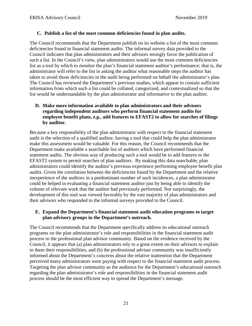#### <span id="page-24-0"></span>**C. Publish a list of the most common deficiencies found in plan audits.**

The Council recommends that the Department publish on its website a list of the most common deficiencies found in financial statement audits. The informal survey data provided to the Council indicates that plan administrators and their advisors strongly favor the publication of such a list. In the Council's view, plan administrators would use the most common deficiencies list as a tool by which to monitor the plan's financial statement auditor's performance; that is, the administrator will refer to the list in asking the auditor what reasonable steps the auditor has taken to avoid those deficiencies in the audit being performed on behalf the administrator's plan. The Council has reviewed the Department's previous studies, which appear to contain sufficient information from which such a list could be collated, categorized, and contextualized so that the list would be understandable by the plan administrator and informative to the plan auditor.

#### <span id="page-24-1"></span>**D. Make more information available to plan administrators and their advisors regarding independent auditors who perform financial statement audits for employee benefit plans,** *e.g.***, add features to EFAST2 to allow for searches of filings by auditor.**

Because a key responsibility of the plan administrator with respect to the financial statement audit is the selection of a qualified auditor, having a tool that could help the plan administrator make this assessment would be valuable. For this reason, the Council recommends that the Department make available a searchable list of auditors which have performed financial statement audits. The obvious way of producing such a tool would be to add features to the EFAST2 system to permit searches of plan auditors. By making this data searchable, plan administrators could identify the auditor's previous experience performing employee benefit plan audits. Given the correlation between the deficiencies found by the Department and the relative inexperience of the auditors in a predominant number of such incidences, a plan administrator could be helped in evaluating a financial statement auditor just by being able to identify the volume of relevant work that the auditor had previously performed. Not surprisingly, the development of this tool was viewed favorably by the vast majority of plan administrators and their advisors who responded to the informal surveys provided to the Council.

#### <span id="page-24-2"></span>**E. Expand the Department's financial statement audit education programs to target plan advisory groups in the Department's outreach.**

The Council recommends that the Department specifically address its educational outreach programs on the plan administrator's role and responsibilities in the financial statement audit process to the professional plan advisor community. Based on the evidence received by the Council, it appears that (a) plan administrators rely to a great extent on their advisors to explain to them their responsibilities, and (b) the professional advisor community was insufficiently informed about the Department's concerns about the relative inattention that the Department perceived many administrators were paying with respect to the financial statement audit process. Targeting the plan advisor community as the audience for the Department's educational outreach regarding the plan administrator's role and responsibilities in the financial statement audit process should be the most efficient way to spread the Department's message.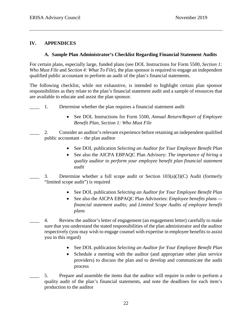#### <span id="page-25-0"></span>**IV. APPENDICES**

#### **A. Sample Plan Administrator's Checklist Regarding Financial Statement Audits**

<span id="page-25-1"></span>For certain plans, especially large, funded plans (see DOL Instructions for Form 5500, *Section 1: Who Must File* and *Section 4: What To File*), the plan sponsor is required to engage an independent qualified public accountant to perform an audit of the plan's financial statements.

The following checklist, while not exhaustive, is intended to highlight certain plan sponsor responsibilities as they relate to the plan's financial statement audit and a sample of resources that are available to educate and assist the plan sponsor.

- 1. Determine whether the plan requires a financial statement audit
	- See DOL Instructions for Form 5500, *Annual Return/Report of Employee Benefit Plan*, *Section 1: Who Must File*
- \_\_\_\_ 2. Consider an auditor's relevant experience before retaining an independent qualified public accountant – the plan auditor
	- See DOL publication *Selecting an Auditor for Your Employee Benefit Plan*
	- See also the AICPA EBPAQC Plan Advisory: *The importance of hiring a quality auditor to perform your employee benefit plan financial statement audit*
- 3. Determine whether a full scope audit or Section  $103(a)(3)(C)$  Audit (formerly "limited scope audit") is required
	- See DOL publication *Selecting an Auditor for Your Employee Benefit Plan*
	- See also the AICPA EBPAQC Plan Advisories: *Employee benefits plans financial statement audits;* and *Limited Scope Audits of employee benefit plans*

\_\_\_\_ 4. Review the auditor's letter of engagement (an engagement letter) carefully to make sure that you understand the stated responsibilities of the plan administrator and the auditor respectively (you may wish to engage counsel with expertise in employee benefits to assist you in this regard)

- See DOL publication *Selecting an Auditor for Your Employee Benefit Plan*
- Schedule a meeting with the auditor (and appropriate other plan service providers) to discuss the plan and to develop and communicate the audit process

5. Prepare and assemble the items that the auditor will require in order to perform a quality audit of the plan's financial statements, and note the deadlines for each item's production to the auditor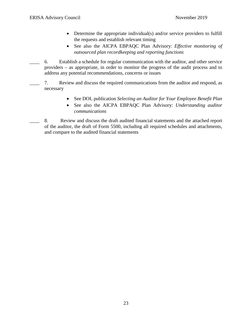- Determine the appropriate individual(s) and/or service providers to fulfill the requests and establish relevant timing
- See also the AICPA EBPAQC Plan Advisory: *Effective monitoring of outsourced plan recordkeeping and reporting functions*

\_\_\_\_ 6. Establish a schedule for regular communication with the auditor, and other service providers – as appropriate, in order to monitor the progress of the audit process and to address any potential recommendations, concerns or issues

\_\_\_\_ 7. Review and discuss the required communications from the auditor and respond, as necessary

- See DOL publication *Selecting an Auditor for Your Employee Benefit Plan*
- See also the AICPA EBPAQC Plan Advisory: *Understanding auditor communications*

\_\_\_\_ 8. Review and discuss the draft audited financial statements and the attached report of the auditor, the draft of Form 5500, including all required schedules and attachments, and compare to the audited financial statements